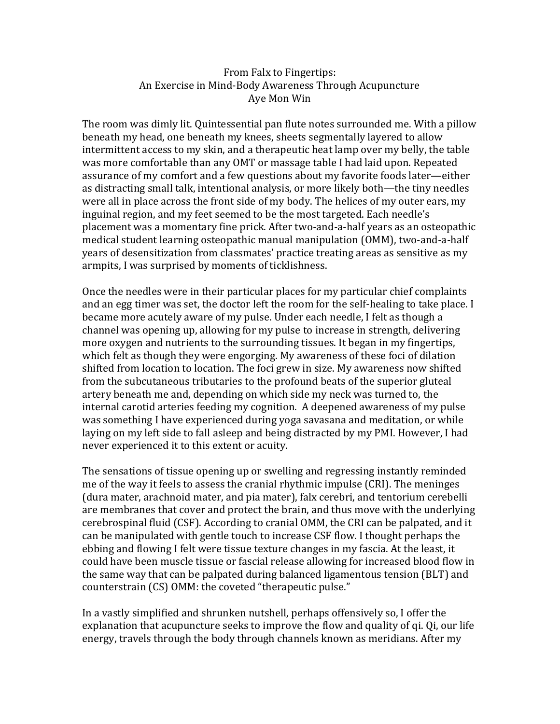## From Falx to Fingertips: An Exercise in Mind-Body Awareness Through Acupuncture Aye Mon Win

The room was dimly lit. Quintessential pan flute notes surrounded me. With a pillow beneath my head, one beneath my knees, sheets segmentally layered to allow intermittent access to my skin, and a therapeutic heat lamp over my belly, the table was more comfortable than any OMT or massage table I had laid upon. Repeated assurance of my comfort and a few questions about my favorite foods later—either as distracting small talk, intentional analysis, or more likely both—the tiny needles were all in place across the front side of my body. The helices of my outer ears, my inguinal region, and my feet seemed to be the most targeted. Each needle's placement was a momentary fine prick. After two-and-a-half years as an osteopathic medical student learning osteopathic manual manipulation (OMM), two-and-a-half years of desensitization from classmates' practice treating areas as sensitive as my armpits, I was surprised by moments of ticklishness.

Once the needles were in their particular places for my particular chief complaints and an egg timer was set, the doctor left the room for the self-healing to take place. I became more acutely aware of my pulse. Under each needle, I felt as though a channel was opening up, allowing for my pulse to increase in strength, delivering more oxygen and nutrients to the surrounding tissues. It began in my fingertips, which felt as though they were engorging. My awareness of these foci of dilation shifted from location to location. The foci grew in size. My awareness now shifted from the subcutaneous tributaries to the profound beats of the superior gluteal artery beneath me and, depending on which side my neck was turned to, the internal carotid arteries feeding my cognition. A deepened awareness of my pulse was something I have experienced during yoga savasana and meditation, or while laying on my left side to fall asleep and being distracted by my PMI. However, I had never experienced it to this extent or acuity.

The sensations of tissue opening up or swelling and regressing instantly reminded me of the way it feels to assess the cranial rhythmic impulse (CRI). The meninges (dura mater, arachnoid mater, and pia mater), falx cerebri, and tentorium cerebelli are membranes that cover and protect the brain, and thus move with the underlying cerebrospinal fluid (CSF). According to cranial OMM, the CRI can be palpated, and it can be manipulated with gentle touch to increase CSF flow. I thought perhaps the ebbing and flowing I felt were tissue texture changes in my fascia. At the least, it could have been muscle tissue or fascial release allowing for increased blood flow in the same way that can be palpated during balanced ligamentous tension (BLT) and counterstrain (CS) OMM: the coveted "therapeutic pulse."

In a vastly simplified and shrunken nutshell, perhaps offensively so, I offer the explanation that acupuncture seeks to improve the flow and quality of qi. Qi, our life energy, travels through the body through channels known as meridians. After my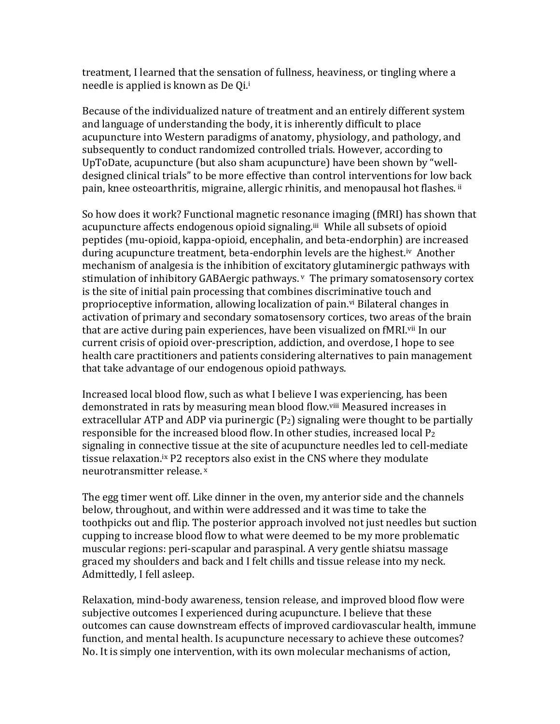treatment, I learned that the sensation of fullness, heaviness, or tingling where a needle is applied is known as De Qi.<sup>i</sup>

Because of the individualized nature of treatment and an entirely different system and language of understanding the body, it is inherently difficult to place acupuncture into Western paradigms of anatomy, physiology, and pathology, and subsequently to conduct randomized controlled trials. However, according to UpToDate, acupuncture (but also sham acupuncture) have been shown by "welldesigned clinical trials" to be more effective than control interventions for low back pain, knee osteoarthritis, migraine, allergic rhinitis, and menopausal hot flashes. ii

So how does it work? Functional magnetic resonance imaging (fMRI) has shown that acupuncture affects endogenous opioid signaling.<sup>iii</sup> While all subsets of opioid peptides (mu-opioid, kappa-opioid, encephalin, and beta-endorphin) are increased during acupuncture treatment, beta-endorphin levels are the highest.iv Another mechanism of analgesia is the inhibition of excitatory glutaminergic pathways with stimulation of inhibitory GABAergic pathways. <sup>v</sup> The primary somatosensory cortex is the site of initial pain processing that combines discriminative touch and proprioceptive information, allowing localization of pain.<sup>vi</sup> Bilateral changes in activation of primary and secondary somatosensory cortices, two areas of the brain that are active during pain experiences, have been visualized on fMRI.vii In our current crisis of opioid over-prescription, addiction, and overdose, I hope to see health care practitioners and patients considering alternatives to pain management that take advantage of our endogenous opioid pathways.

Increased local blood flow, such as what I believe I was experiencing, has been demonstrated in rats by measuring mean blood flow.viii Measured increases in extracellular ATP and ADP via purinergic  $(P_2)$  signaling were thought to be partially responsible for the increased blood flow. In other studies, increased local P<sup>2</sup> signaling in connective tissue at the site of acupuncture needles led to cell-mediate tissue relaxation.ix P2 receptors also exist in the CNS where they modulate neurotransmitter release. <sup>x</sup>

The egg timer went off. Like dinner in the oven, my anterior side and the channels below, throughout, and within were addressed and it was time to take the toothpicks out and flip. The posterior approach involved not just needles but suction cupping to increase blood flow to what were deemed to be my more problematic muscular regions: peri-scapular and paraspinal. A very gentle shiatsu massage graced my shoulders and back and I felt chills and tissue release into my neck. Admittedly, I fell asleep.

Relaxation, mind-body awareness, tension release, and improved blood flow were subjective outcomes I experienced during acupuncture. I believe that these outcomes can cause downstream effects of improved cardiovascular health, immune function, and mental health. Is acupuncture necessary to achieve these outcomes? No. It is simply one intervention, with its own molecular mechanisms of action,